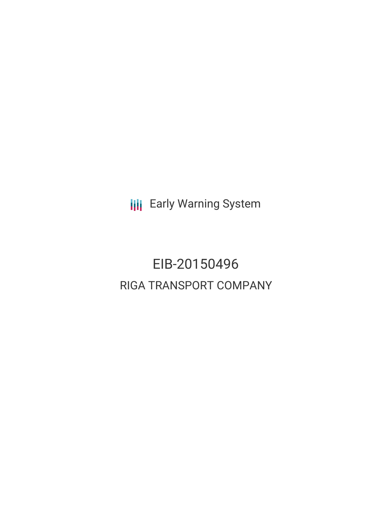**III** Early Warning System

# EIB-20150496 RIGA TRANSPORT COMPANY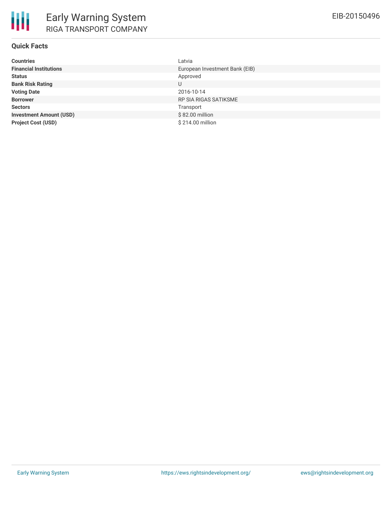## **Quick Facts**

| <b>Countries</b>               | Latvia                         |
|--------------------------------|--------------------------------|
| <b>Financial Institutions</b>  | European Investment Bank (EIB) |
| <b>Status</b>                  | Approved                       |
| <b>Bank Risk Rating</b>        | U                              |
| <b>Voting Date</b>             | 2016-10-14                     |
| <b>Borrower</b>                | <b>RP SIA RIGAS SATIKSME</b>   |
| <b>Sectors</b>                 | Transport                      |
| <b>Investment Amount (USD)</b> | \$82.00 million                |
| <b>Project Cost (USD)</b>      | \$214.00 million               |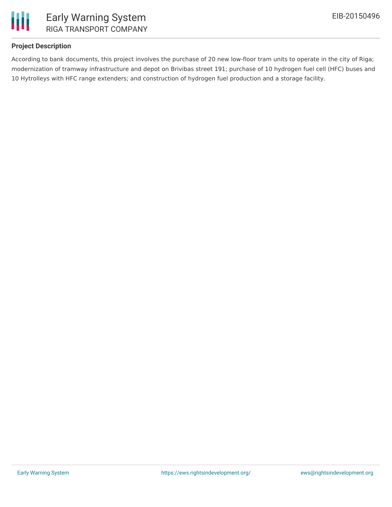

## **Project Description**

According to bank documents, this project involves the purchase of 20 new low-floor tram units to operate in the city of Riga; modernization of tramway infrastructure and depot on Brivibas street 191; purchase of 10 hydrogen fuel cell (HFC) buses and 10 Hytrolleys with HFC range extenders; and construction of hydrogen fuel production and a storage facility.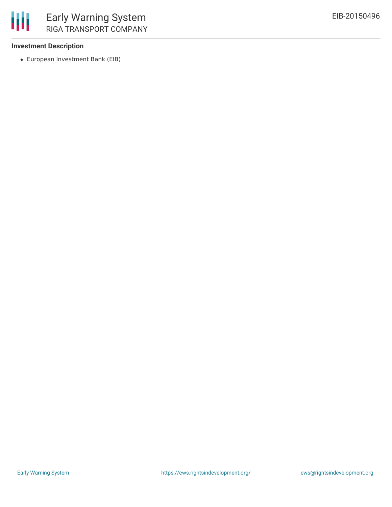

### **Investment Description**

European Investment Bank (EIB)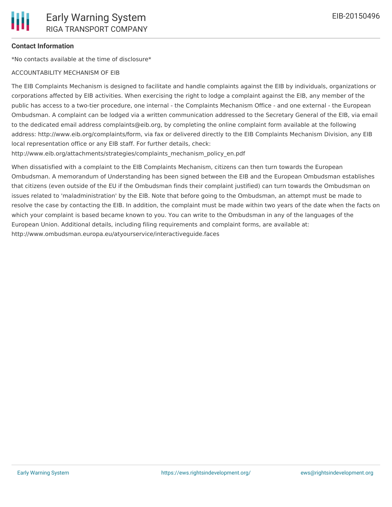### **Contact Information**

\*No contacts available at the time of disclosure\*

#### ACCOUNTABILITY MECHANISM OF EIB

The EIB Complaints Mechanism is designed to facilitate and handle complaints against the EIB by individuals, organizations or corporations affected by EIB activities. When exercising the right to lodge a complaint against the EIB, any member of the public has access to a two-tier procedure, one internal - the Complaints Mechanism Office - and one external - the European Ombudsman. A complaint can be lodged via a written communication addressed to the Secretary General of the EIB, via email to the dedicated email address complaints@eib.org, by completing the online complaint form available at the following address: http://www.eib.org/complaints/form, via fax or delivered directly to the EIB Complaints Mechanism Division, any EIB local representation office or any EIB staff. For further details, check:

http://www.eib.org/attachments/strategies/complaints\_mechanism\_policy\_en.pdf

When dissatisfied with a complaint to the EIB Complaints Mechanism, citizens can then turn towards the European Ombudsman. A memorandum of Understanding has been signed between the EIB and the European Ombudsman establishes that citizens (even outside of the EU if the Ombudsman finds their complaint justified) can turn towards the Ombudsman on issues related to 'maladministration' by the EIB. Note that before going to the Ombudsman, an attempt must be made to resolve the case by contacting the EIB. In addition, the complaint must be made within two years of the date when the facts on which your complaint is based became known to you. You can write to the Ombudsman in any of the languages of the European Union. Additional details, including filing requirements and complaint forms, are available at: http://www.ombudsman.europa.eu/atyourservice/interactiveguide.faces